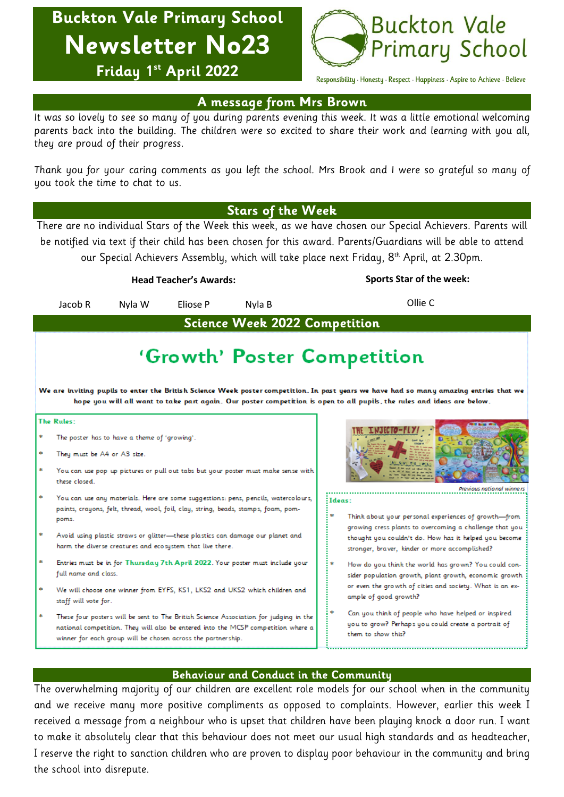**Buckton Vale Primary School Newsletter No23 Friday 1 st April 2022**



Responsibility · Honesty · Respect · Happiness · Aspire to Achieve · Believe

## **A message from Mrs Brown**

It was so lovely to see so many of you during parents evening this week. It was a little emotional welcoming parents back into the building. The children were so excited to share their work and learning with you all, they are proud of their progress.

Thank you for your caring comments as you left the school. Mrs Brook and I were so grateful so many of you took the time to chat to us.

### **Stars of the Week**

There are no individual Stars of the Week this week, as we have chosen our Special Achievers. Parents will be notified via text if their child has been chosen for this award. Parents/Guardians will be able to attend our Special Achievers Assembly, which will take place next Friday, 8 th April, at 2.30pm.

|                                                                                                                                                                                                                                                                                                  | <b>Head Teacher's Awards:</b>                                                                                                                                                                                                                                                                                                                                                                   |                                                                               |          |        | <b>Sports Star of the week:</b>                                                                                                                                    |
|--------------------------------------------------------------------------------------------------------------------------------------------------------------------------------------------------------------------------------------------------------------------------------------------------|-------------------------------------------------------------------------------------------------------------------------------------------------------------------------------------------------------------------------------------------------------------------------------------------------------------------------------------------------------------------------------------------------|-------------------------------------------------------------------------------|----------|--------|--------------------------------------------------------------------------------------------------------------------------------------------------------------------|
|                                                                                                                                                                                                                                                                                                  | Jacob R                                                                                                                                                                                                                                                                                                                                                                                         | Nyla W                                                                        | Eliose P | Nyla B | Ollie C                                                                                                                                                            |
| <b>Science Week 2022 Competition</b>                                                                                                                                                                                                                                                             |                                                                                                                                                                                                                                                                                                                                                                                                 |                                                                               |          |        |                                                                                                                                                                    |
| 'Growth' Poster Competition<br>We are inviting pupils to enter the British Science Week poster competition. In past years we have had so many amazing entries that we<br>hope you will all want to take part again. Our poster competition is open to all pupils, the rules and ideas are below. |                                                                                                                                                                                                                                                                                                                                                                                                 |                                                                               |          |        |                                                                                                                                                                    |
| The Rules:                                                                                                                                                                                                                                                                                       |                                                                                                                                                                                                                                                                                                                                                                                                 |                                                                               |          |        |                                                                                                                                                                    |
|                                                                                                                                                                                                                                                                                                  | The poster has to have a theme of 'growing'.<br>They must be A4 or A3 size.<br>You can use pop up pictures or pull out tabs but your poster must make sense with<br>these closed.                                                                                                                                                                                                               |                                                                               |          |        |                                                                                                                                                                    |
|                                                                                                                                                                                                                                                                                                  | You can use any materials. Here are some suggestions: pens, pencils, watercolours,<br>paints, crayons, felt, thread, wool, foil, clay, string, beads, stamps, foam, pom-<br>poms.<br>Avoid using plastic straws or glitter-these plastics can damage our planet and<br>harm the diverse creatures and ecosystem that live there.                                                                |                                                                               |          |        | Previous national winni<br>: Ideas:<br>Think about your personal experiences of growth-from                                                                        |
|                                                                                                                                                                                                                                                                                                  |                                                                                                                                                                                                                                                                                                                                                                                                 |                                                                               |          |        | growing cress plants to overcoming a challenge that you<br>thought you couldn't do. How has it helped you become<br>stronger, braver, kinder or more accomplished? |
|                                                                                                                                                                                                                                                                                                  | full name and class.                                                                                                                                                                                                                                                                                                                                                                            | Entries must be in for Thursday 7th April 2022. Your poster must include your |          |        | How do you think the world has grown? You could con-<br>sider population growth, plant growth, economic growth                                                     |
|                                                                                                                                                                                                                                                                                                  | We will choose one winner from EYFS, KS1, LKS2 and UKS2 which children and<br>ample of good growth?<br>staff will vote for.<br>These four posters will be sent to The British Science Association for judging in the<br>national competition. They will also be entered into the MCSP competition where a<br>them to show this?<br>winner for each group will be chosen across the partnership. |                                                                               |          |        | or even the growth of cities and society. What is an ex-                                                                                                           |
|                                                                                                                                                                                                                                                                                                  |                                                                                                                                                                                                                                                                                                                                                                                                 |                                                                               |          |        | Can you think of people who have helped or inspired<br>you to grow? Perhaps you could create a portrait of                                                         |
|                                                                                                                                                                                                                                                                                                  |                                                                                                                                                                                                                                                                                                                                                                                                 |                                                                               |          |        |                                                                                                                                                                    |

## **Behaviour and Conduct in the Community**

The overwhelming majority of our children are excellent role models for our school when in the community and we receive many more positive compliments as opposed to complaints. However, earlier this week I received a message from a neighbour who is upset that children have been playing knock a door run. I want to make it absolutely clear that this behaviour does not meet our usual high standards and as headteacher, I reserve the right to sanction children who are proven to display poor behaviour in the community and bring the school into disrepute.